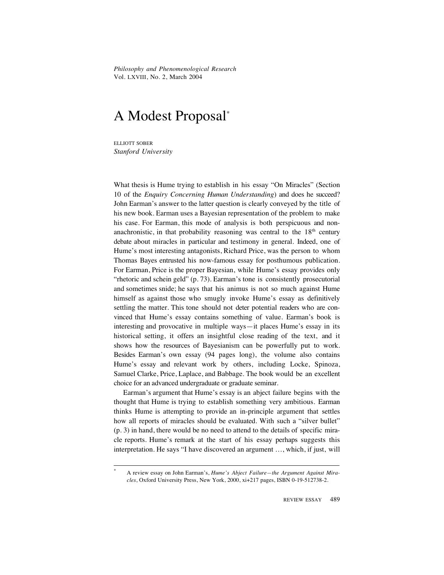*Philosophy and Phenomenological Research* Vol. LXVIII, No. 2, March 2004

## A Modest Proposal\*

ELLIOTT SOBER *Stanford University*

 $\overline{1}$ 

What thesis is Hume trying to establish in his essay "On Miracles" (Section 10 of the *Enquiry Concerning Human Understanding*) and does he succeed? John Earman's answer to the latter question is clearly conveyed by the title of his new book. Earman uses a Bayesian representation of the problem to make his case. For Earman, this mode of analysis is both perspicuous and nonanachronistic, in that probability reasoning was central to the  $18<sup>th</sup>$  century debate about miracles in particular and testimony in general. Indeed, one of Hume's most interesting antagonists, Richard Price, was the person to whom Thomas Bayes entrusted his now-famous essay for posthumous publication. For Earman, Price is the proper Bayesian, while Hume's essay provides only "rhetoric and schein geld" (p. 73). Earman's tone is consistently prosecutorial and sometimes snide; he says that his animus is not so much against Hume himself as against those who smugly invoke Hume's essay as definitively settling the matter. This tone should not deter potential readers who are convinced that Hume's essay contains something of value. Earman's book is interesting and provocative in multiple ways—it places Hume's essay in its historical setting, it offers an insightful close reading of the text, and it shows how the resources of Bayesianism can be powerfully put to work. Besides Earman's own essay (94 pages long), the volume also contains Hume's essay and relevant work by others, including Locke, Spinoza, Samuel Clarke, Price, Laplace, and Babbage. The book would be an excellent choice for an advanced undergraduate or graduate seminar.

Earman's argument that Hume's essay is an abject failure begins with the thought that Hume is trying to establish something very ambitious. Earman thinks Hume is attempting to provide an in-principle argument that settles how all reports of miracles should be evaluated. With such a "silver bullet" (p. 3) in hand, there would be no need to attend to the details of specific miracle reports. Hume's remark at the start of his essay perhaps suggests this interpretation. He says "I have discovered an argument …, which, if just, will

<sup>\*</sup> A review essay on John Earman's, *Hume's Abject Failure—the Argument Against Miracles*, Oxford University Press, New York, 2000, xi+217 pages, ISBN 0-19-512738-2.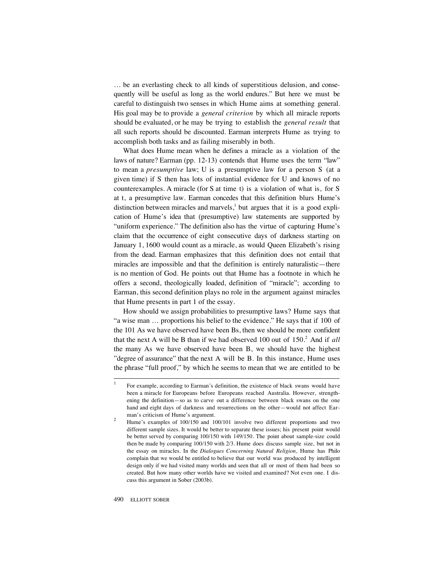… be an everlasting check to all kinds of superstitious delusion, and consequently will be useful as long as the world endures." But here we must be careful to distinguish two senses in which Hume aims at something general. His goal may be to provide a *general criterion* by which all miracle reports should be evaluated, or he may be trying to establish the *general result* that all such reports should be discounted. Earman interprets Hume as trying to accomplish both tasks and as failing miserably in both.

What does Hume mean when he defines a miracle as a violation of the laws of nature? Earman (pp. 12-13) contends that Hume uses the term "law" to mean a *presumptive* law; U is a presumptive law for a person S (at a given time) if S then has lots of instantial evidence for U and knows of no counterexamples. A miracle (for S at time t) is a violation of what is, for S at t, a presumptive law. Earman concedes that this definition blurs Hume's distinction between miracles and marvels, $\frac{1}{2}$  but argues that it is a good explication of Hume's idea that (presumptive) law statements are supported by "uniform experience." The definition also has the virtue of capturing Hume's claim that the occurrence of eight consecutive days of darkness starting on January 1, 1600 would count as a miracle, as would Queen Elizabeth's rising from the dead. Earman emphasizes that this definition does not entail that miracles are impossible and that the definition is entirely naturalistic—there is no mention of God. He points out that Hume has a footnote in which he offers a second, theologically loaded, definition of "miracle"; according to Earman, this second definition plays no role in the argument against miracles that Hume presents in part 1 of the essay.

How should we assign probabilities to presumptive laws? Hume says that "a wise man … proportions his belief to the evidence." He says that if 100 of the 101 As we have observed have been Bs, then we should be more confident that the next A will be B than if we had observed 100 out of 150.<sup>2</sup> And if all the many As we have observed have been B, we should have the highest "degree of assurance" that the next A will be B. In this instance, Hume uses the phrase "full proof," by which he seems to mean that we are entitled to be

 $\,1\,$ <sup>1</sup> For example, according to Earman's definition, the existence of black swans would have been a miracle for Europeans before Europeans reached Australia. However, strengthening the definition—so as to carve out a difference between black swans on the one hand and eight days of darkness and resurrections on the other—would not affect Ear-

man's criticism of Hume's argument.<br><sup>2</sup> Hume's examples of 100/150 and 100/101 involve two different proportions and two different sample sizes. It would be better to separate these issues; his present point would be better served by comparing 100/150 with 149/150. The point about sample-size could then be made by comparing 100/150 with 2/3. Hume does discuss sample size, but not in the essay on miracles. In the *Dialogues Concerning Natural Religion*, Hume has Philo complain that we would be entitled to believe that our world was produced by intelligent design only if we had visited many worlds and seen that all or most of them had been so created. But how many other worlds have we visited and examined? Not even one. I discuss this argument in Sober (2003b).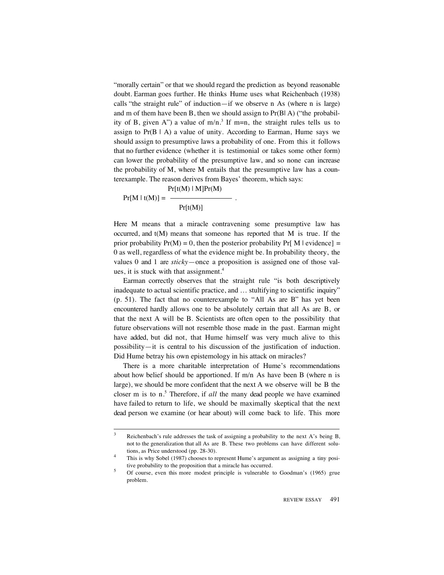"morally certain" or that we should regard the prediction as beyond reasonable doubt. Earman goes further. He thinks Hume uses what Reichenbach (1938) calls "the straight rule" of induction—if we observe n As (where n is large) and m of them have been B, then we should assign to Pr(B| A) ("the probability of B, given A") a value of  $m/n<sup>3</sup>$  If m=n, the straight rules tells us to assign to  $Pr(B \mid A)$  a value of unity. According to Earman, Hume says we should assign to presumptive laws a probability of one. From this it follows that no further evidence (whether it is testimonial or takes some other form) can lower the probability of the presumptive law, and so none can increase the probability of M, where M entails that the presumptive law has a counterexample. The reason derives from Bayes' theorem, which says:  $P<sub>u</sub>(t/(M)+M)P<sub>u</sub>(M)$ 

$$
Pr[M | t(M)] = \frac{Pr[t(M) | N]Pr(M)}{Pr[t(M)]}.
$$

Here M means that a miracle contravening some presumptive law has occurred, and t(M) means that someone has reported that M is true. If the prior probability  $Pr(M) = 0$ , then the posterior probability  $Pr[M \mid evidence] =$ 0 as well, regardless of what the evidence might be. In probability theory, the values 0 and 1 are *sticky*—once a proposition is assigned one of those values, it is stuck with that assignment.4

Earman correctly observes that the straight rule "is both descriptively inadequate to actual scientific practice, and … stultifying to scientific inquiry" (p. 51). The fact that no counterexample to "All As are B" has yet been encountered hardly allows one to be absolutely certain that all As are B, or that the next A will be B. Scientists are often open to the possibility that future observations will not resemble those made in the past. Earman might have added, but did not, that Hume himself was very much alive to this possibility—it is central to his discussion of the justification of induction. Did Hume betray his own epistemology in his attack on miracles?

There is a more charitable interpretation of Hume's recommendations about how belief should be apportioned. If m/n As have been B (where n is large), we should be more confident that the next A we observe will be B the closer m is to n.<sup>5</sup> Therefore, if *all* the many dead people we have examined have failed to return to life, we should be maximally skeptical that the next dead person we examine (or hear about) will come back to life. This more

 $\overline{\mathbf{3}}$ Reichenbach's rule addresses the task of assigning a probability to the next A's being B, not to the generalization that all As are B. These two problems can have different solutions, as Price understood (pp. 28-30).<br>This is why Sobel (1987) chooses to represent Hume's argument as assigning a tiny posi-

tive probability to the proposition that a miracle has occurred.<br>Of course, even this more modest principle is vulnerable to Goodman's (1965) grue

problem.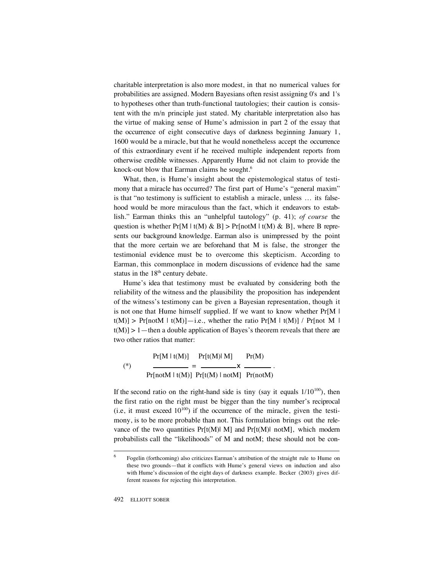charitable interpretation is also more modest, in that no numerical values for probabilities are assigned. Modern Bayesians often resist assigning 0's and 1's to hypotheses other than truth-functional tautologies; their caution is consistent with the m/n principle just stated. My charitable interpretation also has the virtue of making sense of Hume's admission in part 2 of the essay that the occurrence of eight consecutive days of darkness beginning January 1, 1600 would be a miracle, but that he would nonetheless accept the occurrence of this extraordinary event if he received multiple independent reports from otherwise credible witnesses. Apparently Hume did not claim to provide the knock-out blow that Earman claims he sought.<sup>6</sup>

What, then, is Hume's insight about the epistemological status of testimony that a miracle has occurred? The first part of Hume's "general maxim" is that "no testimony is sufficient to establish a miracle, unless … its falsehood would be more miraculous than the fact, which it endeavors to establish." Earman thinks this an "unhelpful tautology" (p. 41); *of course* the question is whether  $Pr[M | t(M) \& B] > Pr[not M | t(M) \& B]$ , where B represents our background knowledge. Earman also is unimpressed by the point that the more certain we are beforehand that M is false, the stronger the testimonial evidence must be to overcome this skepticism. According to Earman, this commonplace in modern discussions of evidence had the same status in the  $18<sup>th</sup>$  century debate.

Hume's idea that testimony must be evaluated by considering both the reliability of the witness and the plausibility the proposition has independent of the witness's testimony can be given a Bayesian representation, though it is not one that Hume himself supplied. If we want to know whether Pr[M |  $t(M)$ ] > Pr[notM | t(M)] -i.e., whether the ratio Pr[M | t(M)] / Pr[not M |  $t(M)$ ] > 1—then a double application of Bayes's theorem reveals that there are two other ratios that matter:

Pr[M | t(M)] Pr[t(M)| M] Pr(M) (\*) = x . Pr[notM | t(M)] Pr[t(M) | notM] Pr(notM)

If the second ratio on the right-hand side is tiny (say it equals  $1/10^{100}$ ), then the first ratio on the right must be bigger than the tiny number's reciprocal (i.e, it must exceed  $10^{100}$ ) if the occurrence of the miracle, given the testimony, is to be more probable than not. This formulation brings out the relevance of the two quantities  $Pr[t(M) | M]$  and  $Pr[t(M) | not M]$ , which modern probabilists call the "likelihoods" of M and notM; these should not be con-

 $\overline{\phantom{a}}$ 

<sup>6</sup> Fogelin (forthcoming) also criticizes Earman's attribution of the straight rule to Hume on these two grounds—that it conflicts with Hume's general views on induction and also with Hume's discussion of the eight days of darkness example. Becker (2003) gives different reasons for rejecting this interpretation.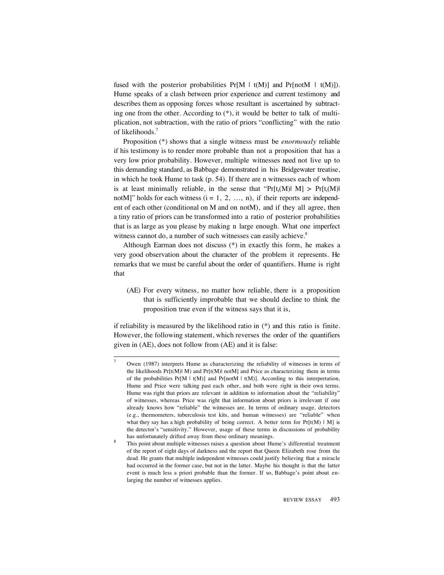fused with the posterior probabilities  $Pr[M | t(M)]$  and  $Pr[notM | t(M)]$ ). Hume speaks of a clash between prior experience and current testimony and describes them as opposing forces whose resultant is ascertained by subtracting one from the other. According to  $(*)$ , it would be better to talk of multiplication, not subtraction, with the ratio of priors "conflicting" with the ratio of likelihoods.7

Proposition (\*) shows that a single witness must be *enormously* reliable if his testimony is to render more probable than not a proposition that has a very low prior probability. However, multiple witnesses need not live up to this demanding standard, as Babbage demonstrated in his Bridgewater treatise, in which he took Hume to task (p. 54). If there are n witnesses each of whom is at least minimally reliable, in the sense that " $Pr[t_i(M) \mid M] > Pr[t_i(M)]$ notM]" holds for each witness  $(i = 1, 2, ..., n)$ , if their reports are independent of each other (conditional on M and on notM), and if they all agree, then a tiny ratio of priors can be transformed into a ratio of posterior probabilities that is as large as you please by making n large enough. What one imperfect witness cannot do, a number of such witnesses can easily achieve.<sup>8</sup>

Although Earman does not discuss (\*) in exactly this form, he makes a very good observation about the character of the problem it represents. He remarks that we must be careful about the order of quantifiers. Hume is right that

(AE) For every witness, no matter how reliable, there is a proposition that is sufficiently improbable that we should decline to think the proposition true even if the witness says that it is,

if reliability is measured by the likelihood ratio in (\*) and this ratio is finite. However, the following statement, which reverses the order of the quantifiers given in (AE), does not follow from (AE) and it is false:

 $\overline{a}$ 

Owen (1987) interprets Hume as characterizing the reliability of witnesses in terms of the likelihoods  $Pr[f(M)| M)$  and  $Pr[f(M)| not M]$  and Price as characterizing them in terms of the probabilities  $Pr[M | t(M)]$  and  $Pr[notM | t(M)]$ . According to this interpretation, Hume and Price were talking past each other, and both were right in their own terms. Hume was right that priors are relevant in addition to information about the "reliability" of witnesses, whereas Price was right that information about priors is irrelevant if one already knows how "reliable" the witnesses are. In terms of ordinary usage, detectors (e.g., thermometers, tuberculosis test kits, and human witnesses) are "reliable" when what they say has a high probability of being correct. A better term for  $Pr[t(M) | M]$  is the detector's "sensitivity." However, usage of these terms in discussions of probability

has unfortunately drifted away from these ordinary meanings.<br><sup>8</sup> This point about multiple witnesses raises a question about Hume's differential treatment of the report of eight days of darkness and the report that Queen Elizabeth rose from the dead. He grants that multiple independent witnesses could justify believing that a miracle had occurred in the former case, but not in the latter. Maybe his thought is that the latter event is much less a priori probable than the former. If so, Babbage's point about enlarging the number of witnesses applies.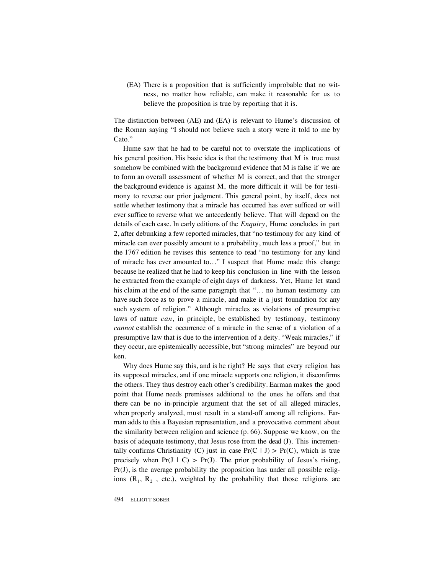(EA) There is a proposition that is sufficiently improbable that no witness, no matter how reliable, can make it reasonable for us to believe the proposition is true by reporting that it is.

The distinction between (AE) and (EA) is relevant to Hume's discussion of the Roman saying "I should not believe such a story were it told to me by Cato."

Hume saw that he had to be careful not to overstate the implications of his general position. His basic idea is that the testimony that M is true must somehow be combined with the background evidence that M is false if we are to form an overall assessment of whether M is correct, and that the stronger the background evidence is against M, the more difficult it will be for testimony to reverse our prior judgment. This general point, by itself, does not settle whether testimony that a miracle has occurred has ever sufficed or will ever suffice to reverse what we antecedently believe. That will depend on the details of each case. In early editions of the *Enquiry*, Hume concludes in part 2, after debunking a few reported miracles, that "no testimony for any kind of miracle can ever possibly amount to a probability, much less a proof," but in the 1767 edition he revises this sentence to read "no testimony for any kind of miracle has ever amounted to…" I suspect that Hume made this change because he realized that he had to keep his conclusion in line with the lesson he extracted from the example of eight days of darkness. Yet, Hume let stand his claim at the end of the same paragraph that "... no human testimony can have such force as to prove a miracle, and make it a just foundation for any such system of religion." Although miracles as violations of presumptive laws of nature *can*, in principle, be established by testimony, testimony *cannot* establish the occurrence of a miracle in the sense of a violation of a presumptive law that is due to the intervention of a deity. "Weak miracles," if they occur, are epistemically accessible, but "strong miracles" are beyond our ken.

Why does Hume say this, and is he right? He says that every religion has its supposed miracles, and if one miracle supports one religion, it disconfirms the others. They thus destroy each other's credibility. Earman makes the good point that Hume needs premisses additional to the ones he offers and that there can be no in-principle argument that the set of all alleged miracles, when properly analyzed, must result in a stand-off among all religions. Earman adds to this a Bayesian representation, and a provocative comment about the similarity between religion and science (p. 66). Suppose we know, on the basis of adequate testimony, that Jesus rose from the dead (J). This incrementally confirms Christianity (C) just in case  $Pr(C | J) > Pr(C)$ , which is true precisely when  $Pr(J | C) > Pr(J)$ . The prior probability of Jesus's rising,  $Pr(J)$ , is the average probability the proposition has under all possible religions  $(R_1, R_2,$  etc.), weighted by the probability that those religions are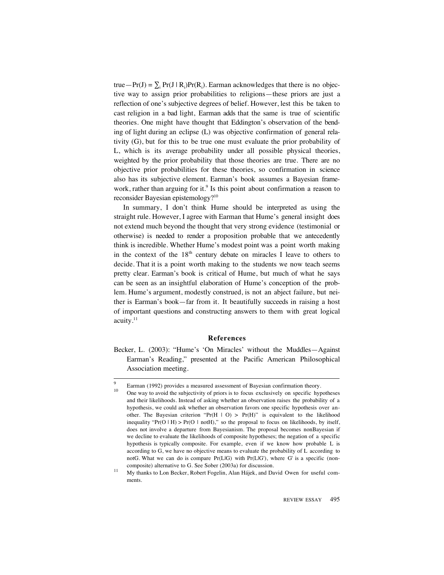true—Pr(J) =  $\sum_i$  Pr(J | R<sub>i</sub>)Pr(R<sub>i</sub>). Earman acknowledges that there is no objective way to assign prior probabilities to religions—these priors are just a reflection of one's subjective degrees of belief. However, lest this be taken to cast religion in a bad light, Earman adds that the same is true of scientific theories. One might have thought that Eddington's observation of the bending of light during an eclipse (L) was objective confirmation of general relativity (G), but for this to be true one must evaluate the prior probability of L, which is its average probability under all possible physical theories, weighted by the prior probability that those theories are true. There are no objective prior probabilities for these theories, so confirmation in science also has its subjective element. Earman's book assumes a Bayesian framework, rather than arguing for it.<sup>9</sup> Is this point about confirmation a reason to reconsider Bayesian epistemology?<sup>10</sup>

In summary, I don't think Hume should be interpreted as using the straight rule. However, I agree with Earman that Hume's general insight does not extend much beyond the thought that very strong evidence (testimonial or otherwise) is needed to render a proposition probable that we antecedently think is incredible. Whether Hume's modest point was a point worth making in the context of the  $18<sup>th</sup>$  century debate on miracles I leave to others to decide. That it is a point worth making to the students we now teach seems pretty clear. Earman's book is critical of Hume, but much of what he says can be seen as an insightful elaboration of Hume's conception of the problem. Hume's argument, modestly construed, is not an abject failure, but neither is Earman's book—far from it. It beautifully succeeds in raising a host of important questions and constructing answers to them with great logical acuity.<sup>11</sup>

## **References**

Becker, L. (2003): "Hume's 'On Miracles' without the Muddles—Against Earman's Reading," presented at the Pacific American Philosophical Association meeting.

 $\overline{a}$ 

Earman (1992) provides a measured assessment of Bayesian confirmation theory.<br><sup>10</sup> One way to avoid the subjectivity of priors is to focus exclusively on specific hypotheses

and their likelihoods. Instead of asking whether an observation raises the probability of a hypothesis, we could ask whether an observation favors one specific hypothesis over another. The Bayesian criterion "Pr(H  $\mid$  O) > Pr(H)" is equivalent to the likelihood inequality "Pr(O | H) > Pr(O | notH)," so the proposal to focus on likelihoods, by itself, does not involve a departure from Bayesianism. The proposal becomes nonBayesian if we decline to evaluate the likelihoods of composite hypotheses; the negation of a specific hypothesis is typically composite. For example, even if we know how probable L is according to G, we have no objective means to evaluate the probability of L according to notG. What we can do is compare  $Pr(L|G)$  with  $Pr(L|G')$ , where G' is a specific (non-

composite) alternative to G. See Sober (2003a) for discussion.<br><sup>11</sup> My thanks to Lon Becker, Robert Fogelin, Alan Hájek, and David Owen for useful comments.